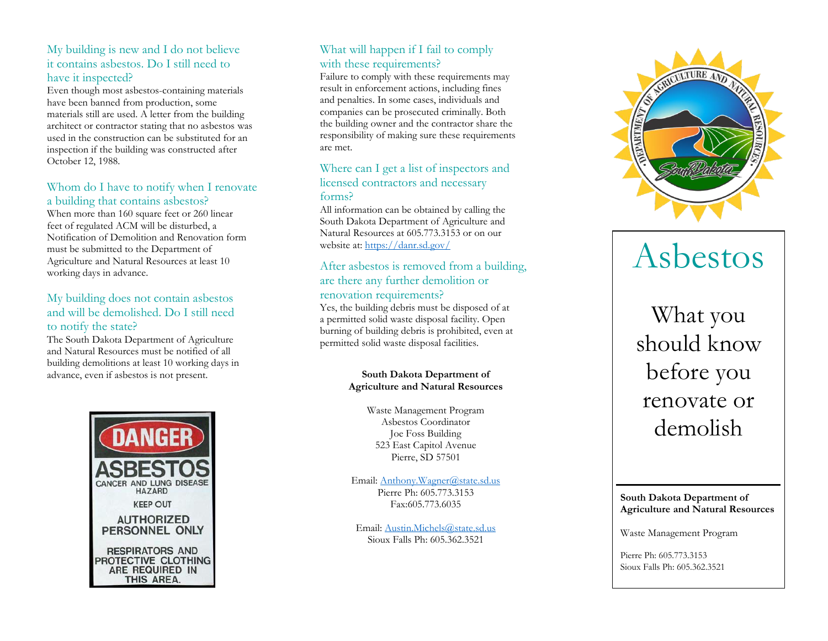## My building is new and I do not believe it contains asbestos. Do I still need to have it inspected?

Even though most asbestos -containing materials have been banned from production, some materials still are used. A letter from the building architect or contractor stating that no asbestos was used in the construction can be substituted for an inspection if the building was constructed after October 12, 1988.

## Whom do I have to notify when I renovate a building that contains asbestos?

When more than 160 square feet or 260 linear feet of regulated ACM will be disturbed, a Notification of Demolition and Renovation form must be submitted to the Department of Agriculture and Natural Resources at least 10 working days in advance.

#### My building does not contain asbestos and will be demolished. Do I still need to notify the state?

The South Dakota Department of Agriculture and Natural Resources must be notified of all building demolitions at least 10 working days in advance, even if asbestos is not present.



# What will happen if I fail to comply with these requirements?

Failure to comply with these requirements may result in enforcement actions, including fines and penalties. In some cases, individuals and companies can be prosecuted criminally. Both the building owner and the contractor share the responsibility of making sure these requirements are met.

#### Where can I get a list of inspectors and licensed contractors and necessary forms?

All information can be obtained by calling the South Dakota Department of Agriculture and Natural Resources at 605.773.3153 or on our website at: <https://danr.sd.gov/>

## After asbestos is removed from a building, are there any further demolition or renovation requirements?

Yes, the building debris must be disposed of at a permitted solid waste disposal facility. Open burning of building debris is prohibited, even at permitted solid waste disposal facilities.

#### **South Dakota Department of Agriculture and Natural Resources**

Waste Management Program Asbestos Coordinator Joe Foss Building 523 East C apitol Avenue Pierre, SD 5750 1

Email: [Anthony.Wagner@state.sd.us](mailto:Anthony.Wagner@state.sd.us) Pierre Ph: 605.773.3153 Fax:605.773.6035

Email: [Austin.Michels@state.sd.us](mailto:Austin.Michels@state.sd.us) Sioux F alls Ph: 605.362.3521



# Asbestos

What you should know before you renovate or demolish

#### **South Dakota Department of Agriculture and Natural Resources**

Waste Management Program

Pierre Ph : 605.773.3153 Sioux Falls Ph : 605.362.3521